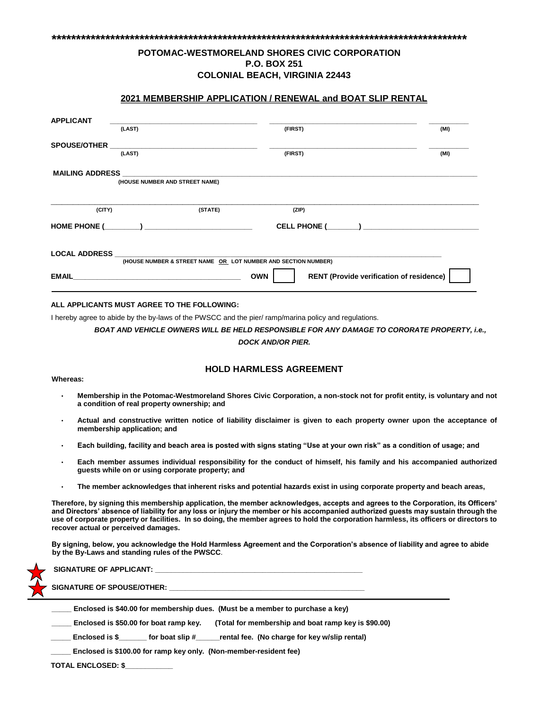# **POTOMAC-WESTMORELAND SHORES CIVIC CORPORATION P.O. BOX 251 COLONIAL BEACH, VIRGINIA 22443**

**\*\*\*\*\*\*\*\*\*\*\*\*\*\*\*\*\*\*\*\*\*\*\*\*\*\*\*\*\*\*\*\*\*\*\*\*\*\*\*\*\*\*\*\*\*\*\*\*\*\*\*\*\*\*\*\*\*\*\*\*\*\*\*\*\*\*\*\*\*\*\*\*\*\*\*\*\*\*\*\*\*\*\*\*\*** 

## **2021 MEMBERSHIP APPLICATION / RENEWAL and BOAT SLIP RENTAL**

| <b>APPLICANT</b>    | (LAST)                                                                                                                                           | (FIRST)    | (MI)                                            |
|---------------------|--------------------------------------------------------------------------------------------------------------------------------------------------|------------|-------------------------------------------------|
| <b>SPOUSE/OTHER</b> | (LAST)                                                                                                                                           | (FIRST)    | (MI)                                            |
|                     | MAILING ADDRESS AND A STRUCK AND A STRUCK AND A STRUCK AND A STRUCK AND A STRUCK AND A STRUCK AND A STRUCK AND<br>(HOUSE NUMBER AND STREET NAME) |            |                                                 |
| (CITY)              | (STATE)<br>HOME PHONE (                                                                                                                          | (ZIP)      |                                                 |
|                     | LOCAL ADDRESS AND ALCOHOLYSTS AND ALCOHOLYSTS.<br>(HOUSE NUMBER & STREET NAME OR LOT NUMBER AND SECTION NUMBER)                                  |            |                                                 |
|                     |                                                                                                                                                  | <b>OWN</b> | <b>RENT (Provide verification of residence)</b> |

#### **ALL APPLICANTS MUST AGREE TO THE FOLLOWING:**

I hereby agree to abide by the by-laws of the PWSCC and the pier/ ramp/marina policy and regulations.

*BOAT AND VEHICLE OWNERS WILL BE HELD RESPONSIBLE FOR ANY DAMAGE TO CORORATE PROPERTY, i.e., DOCK AND/OR PIER.*

### **HOLD HARMLESS AGREEMENT**

#### • **Membership in the Potomac-Westmoreland Shores Civic Corporation, a non-stock not for profit entity, is voluntary and not a condition of real property ownership; and**

- **Actual and constructive written notice of liability disclaimer is given to each property owner upon the acceptance of membership application; and**
- **Each building, facility and beach area is posted with signs stating "Use at your own risk" as a condition of usage; and**
- **Each member assumes individual responsibility for the conduct of himself, his family and his accompanied authorized guests while on or using corporate property; and**
- **The member acknowledges that inherent risks and potential hazards exist in using corporate property and beach areas,**

**Therefore, by signing this membership application, the member acknowledges, accepts and agrees to the Corporation, its Officers' and Directors' absence of liability for any loss or injury the member or his accompanied authorized guests may sustain through the use of corporate property or facilities. In so doing, the member agrees to hold the corporation harmless, its officers or directors to recover actual or perceived damages.** 

**By signing, below, you acknowledge the Hold Harmless Agreement and the Corporation's absence of liability and agree to abide by the By-Laws and standing rules of the PWSCC**.

|                                                                               | $\sim$ SIGNATURE OF APPLICANT: $\quad$                                                        |  |  |  |  |  |
|-------------------------------------------------------------------------------|-----------------------------------------------------------------------------------------------|--|--|--|--|--|
|                                                                               | SIGNATURE OF SPOUSE/OTHER: 7                                                                  |  |  |  |  |  |
| Enclosed is \$40.00 for membership dues. (Must be a member to purchase a key) |                                                                                               |  |  |  |  |  |
|                                                                               | Enclosed is \$50.00 for boat ramp key.<br>(Total for membership and boat ramp key is \$90.00) |  |  |  |  |  |
|                                                                               | rental fee. (No charge for key w/slip rental)<br>Enclosed is \$<br>for boat slip #            |  |  |  |  |  |

**\_\_\_\_\_ Enclosed is \$100.00 for ramp key only. (Non-member-resident fee)** 

**TOTAL ENCLOSED: \$\_\_\_\_\_\_\_\_\_\_\_\_**

**Whereas:**